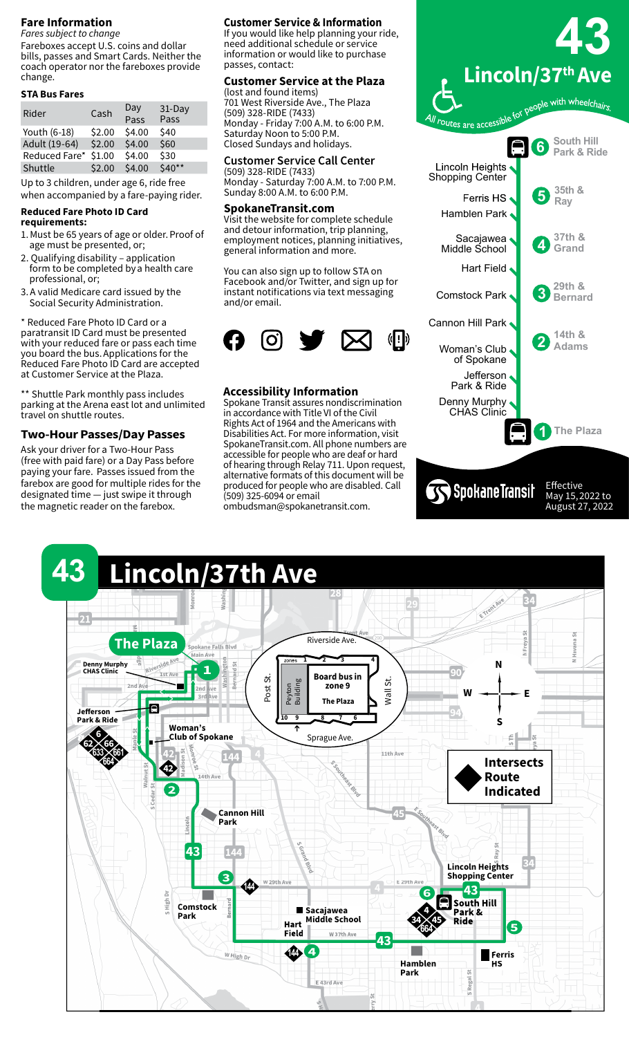### **Fare Information**

*Fares subject to change* Fareboxes accept U.S. coins and dollar bills, passes and Smart Cards. Neither the coach operator nor the fareboxes provide change.

#### **STA Bus Fares**

| Rider         | Cash   | Day<br>Pass | 31-Day<br>Pass |
|---------------|--------|-------------|----------------|
| Youth (6-18)  | \$2.00 | \$4.00      | \$40           |
| Adult (19-64) | \$2.00 | \$4.00      | \$60           |
| Reduced Fare* | \$1.00 | \$4.00      | \$30           |
| Shuttle       | \$2.00 | \$4.00      | \$40**         |
|               |        |             |                |

Up to 3 children, under age 6, ride free when accompanied by a fare-paying rider.

## **Reduced Fare Photo ID Card**

- **requirements:**
- 1. Must be 65 years of age or older. Proof of age must be presented, or;
- 2. Qualifying disability application form to be completed by a health care professional, or;
- 3. A valid Medicare card issued by the Social Security Administration.

\* Reduced Fare Photo ID Card or a paratransit ID Card must be presented with your reduced fare or pass each time you board the bus. Applications for the Reduced Fare Photo ID Card are accepted at Customer Service at the Plaza. 

\*\* Shuttle Park monthly pass includes parking at the Arena east lot and unlimited travel on shuttle routes.

## **Two-Hour Passes/Day Passes**

Ask your driver for a Two-Hour Pass (free with paid fare) or a Day Pass before paying your fare.  Passes issued from the farebox are good for multiple rides for the designated time — just swipe it through the magnetic reader on the farebox.

#### **Customer Service & Information**

If you would like help planning your ride, need additional schedule or service information or would like to purchase passes, contact:

#### **Customer Service at the Plaza** (lost and found items)

701 West Riverside Ave., The Plaza (509) 328-RIDE (7433) Monday - Friday 7:00 A.M. to 6:00 P.M. Saturday Noon to 5:00 P.M. Closed Sundays and holidays.

#### **Customer Service Call Center**

(509) 328-RIDE (7433) Monday - Saturday 7:00 A.M. to 7:00 P.M. Sunday 8:00 A.M. to 6:00 P.M.

#### **SpokaneTransit.com**

Visit the website for complete schedule and detour information, trip planning, employment notices, planning initiatives, general information and more.

You can also sign up to follow STA on Facebook and/or Twitter, and sign up for instant notifications via text messaging and/or email.



#### **Accessibility Information**

Spokane Transit assures nondiscrimination in accordance with Title VI of the Civil Rights Act of 1964 and the Americans with Disabilities Act. For more information, visit SpokaneTransit.com. All phone numbers are accessible for people who are deaf or hard of hearing through Relay 711. Upon request, alternative formats of this document will be produced for people who are disabled. Call (509) 325-6094 or email ombudsman@spokanetransit.com.

**43 Lincoln/37th Ave** people with wheelchairs All routes are accessible for **South Hill 6 Park & Ride** Lincoln Heights Shopping Center **35th & 5 Ray** Ferris HS Hamblen Park Sacajawea . **4 37th & Grand** Middle School Hart Field **3 29th & Bernard** Comstock Park Cannon Hill Park **2 14th & Adams** Woman's Club of Spokane Jefferson Park & Ride Denny Murphy CHAS Clinic **1 The Plaza SS** Spokane Transit Effective

May 15, 2022 to August 27, 2022

#### **43 Lincoln/37th Ave** 芴 Riverside Ave. **The Plaza Spokane Falls Blvd** Main Ave  $1 \rightarrow 2 \rightarrow 3$ **Denny Murphy N 1 CHAS Clinic Ist Ave Board bus in**  Post St. Wall St. Peyton Building **2nd zone 9 W E**  $3r$ **The Plaza** e **Jefferson Park & Ride 10 9 8 7 6 S Woman's 6 Club of Spokane** Sprague Ave. **62 66 633 661** 11th Ave S.Southeast Blue **Intersects <sup>664</sup> <sup>42</sup>** ِينَ<br>پير 14th Ave **Route 2 Indicated** E Southeast Blue **Cannon Hill Lincoln Park** t, **43 Lincoln Heights Shopping Center 3** W 29th Ave E 29th Ave **144 43 6** S High Dı **South Hill Bernard Comstock Sacajawea 4 Park & Park Middle School Hart 34 45 Ride 5 664 Field W 37th Ave 43 4 144** W High Dr **Ferris Hamblen HS** S Regal St **Park** E 43rd Ave ă